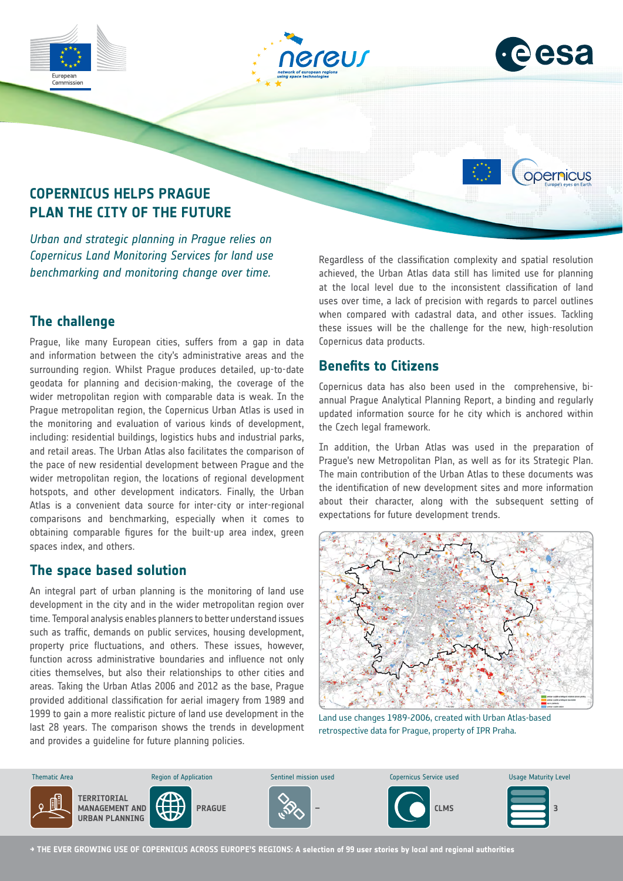





opernicus

## **COPERNICUS HELPS PRAGUE PLAN THE CITY OF THE FUTURE**

*Urban and strategic planning in Prague relies on Copernicus Land Monitoring Services for land use benchmarking and monitoring change over time.*

## **The challenge**

Prague, like many European cities, suffers from a gap in data and information between the city's administrative areas and the surrounding region. Whilst Prague produces detailed, up-to-date geodata for planning and decision-making, the coverage of the wider metropolitan region with comparable data is weak. In the Prague metropolitan region, the Copernicus Urban Atlas is used in the monitoring and evaluation of various kinds of development, including: residential buildings, logistics hubs and industrial parks, and retail areas. The Urban Atlas also facilitates the comparison of the pace of new residential development between Prague and the wider metropolitan region, the locations of regional development hotspots, and other development indicators. Finally, the Urban Atlas is a convenient data source for inter-city or inter-regional comparisons and benchmarking, especially when it comes to obtaining comparable figures for the built-up area index, green spaces index, and others.

### **The space based solution**

An integral part of urban planning is the monitoring of land use development in the city and in the wider metropolitan region over time. Temporal analysis enables planners to better understand issues such as traffic, demands on public services, housing development, property price fluctuations, and others. These issues, however, function across administrative boundaries and influence not only cities themselves, but also their relationships to other cities and areas. Taking the Urban Atlas 2006 and 2012 as the base, Prague provided additional classification for aerial imagery from 1989 and 1999 to gain a more realistic picture of land use development in the last 28 years. The comparison shows the trends in development and provides a guideline for future planning policies. Planning

Regardless of the classification complexity and spatial resolution achieved, the Urban Atlas data still has limited use for planning at the local level due to the inconsistent classification of land uses over time, a lack of precision with regards to parcel outlines when compared with cadastral data, and other issues. Tackling these issues will be the challenge for the new, high-resolution Copernicus data products.

### **Benefits to Citizens**

Copernicus data has also been used in the comprehensive, biannual Prague Analytical Planning Report, a binding and regularly updated information source for he city which is anchored within the Czech legal framework.

In addition, the Urban Atlas was used in the preparation of Prague's new Metropolitan Plan, as well as for its Strategic Plan. The main contribution of the Urban Atlas to these documents was the identification of new development sites and more information about their character, along with the subsequent setting of expectations for future development trends.



Land use changes 1989-2006, created with Urban Atlas-based retrospective data for Prague, property of IPR Praha.



**→ THE EVER GROWING USE OF COPERNICUS ACROSS EUROPE'S REGIONS: A selection of 99 user stories by local and regional authorities**